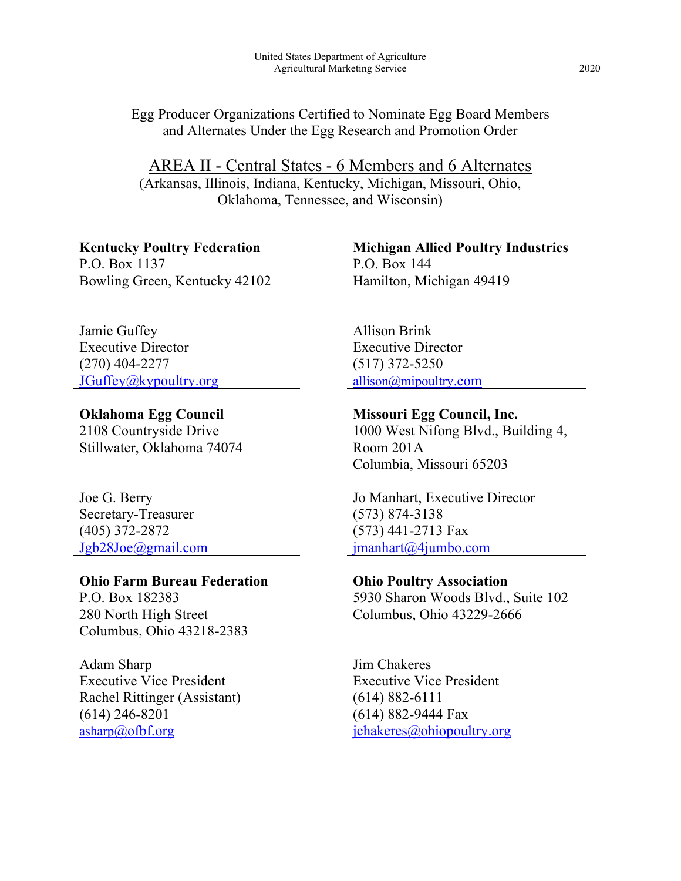Egg Producer Organizations Certified to Nominate Egg Board Members and Alternates Under the Egg Research and Promotion Order

AREA II - Central States - 6 Members and 6 Alternates (Arkansas, Illinois, Indiana, Kentucky, Michigan, Missouri, Ohio, Oklahoma, Tennessee, and Wisconsin)

**Kentucky Poultry Federation** P.O. Box 1137 Bowling Green, Kentucky 42102

Jamie Guffey Executive Director (270) 404-2277 [JGuffey@kypoultry.org](mailto:JGuffey@kypoultry.org)

**Oklahoma Egg Council** 2108 Countryside Drive Stillwater, Oklahoma 74074

Joe G. Berry Secretary-Treasurer (405) 372-2872 [Jgb28Joe@gmail.com](mailto:Jgb28Joe@gmail.com)

**Ohio Farm Bureau Federation**

P.O. Box 182383 280 North High Street Columbus, Ohio 43218-2383

Adam Sharp Executive Vice President Rachel Rittinger (Assistant) (614) 246-8201  $asharp(\omega) of bf.org$ 

**Michigan Allied Poultry Industries** P.O. Box 144 Hamilton, Michigan 49419

Allison Brink Executive Director (517) 372-5250 [allison@mipoultry.com](mailto:allison@mipoultry.com)

**Missouri Egg Council, Inc.** 1000 West Nifong Blvd., Building 4, Room 201A Columbia, Missouri 65203

Jo Manhart, Executive Director (573) 874-3138 (573) 441-2713 Fax [jmanhart@4jumbo.com](mailto:jmanhart@4jumbo.com)

**Ohio Poultry Association** 5930 Sharon Woods Blvd., Suite 102 Columbus, Ohio 43229-2666

Jim Chakeres Executive Vice President (614) 882-6111 (614) 882-9444 Fax [jchakeres@ohiopoultry.org](mailto:jchakeres@ohiopoultry.org)